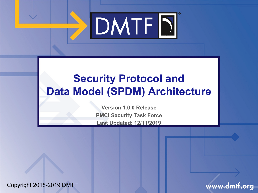

## **Security Protocol and Data Model (SPDM) Architecture**

**Version 1.0.0 Release PMCI Security Task Force Last Updated: 12/11/2019**

Copyright 2018-2019 DMTF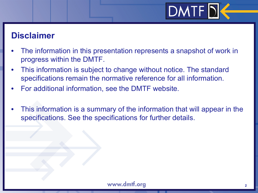# $DMTF$

## **Disclaimer**

- The information in this presentation represents a snapshot of work in progress within the DMTF.
- This information is subject to change without notice. The standard specifications remain the normative reference for all information.
- For additional information, see the DMTF website.
- This information is a summary of the information that will appear in the specifications. See the specifications for further details.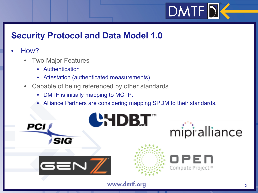## **Security Protocol and Data Model 1.0**

### • How?

- Two Major Features
	- Authentication
	- Attestation (authenticated measurements)
- Capable of being referenced by other standards.
	- DMTF is initially mapping to MCTP.
	- Alliance Partners are considering mapping SPDM to their standards.

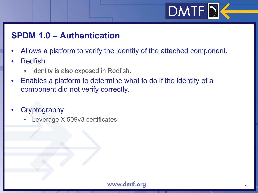# $DMTF$

## **SPDM 1.0 – Authentication**

- Allows a platform to verify the identity of the attached component.
- Redfish
	- Identity is also exposed in Redfish.
- Enables a platform to determine what to do if the identity of a component did not verify correctly.
- **Cryptography** 
	- Leverage X.509v3 certificates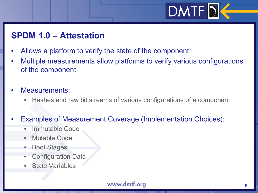## **SPDM 1.0 – Attestation**

- Allows a platform to verify the state of the component.
- Multiple measurements allow platforms to verify various configurations of the component.
- Measurements:
	- Hashes and raw bit streams of various configurations of a component
- Examples of Measurement Coverage (Implementation Choices):
	- Immutable Code
	- Mutable Code
	- Boot Stages
	- Configuration Data
	- State Variables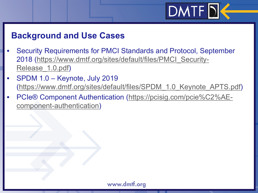# $DMTF$

### **Background and Use Cases**

- Security Requirements for PMCI Standards and Protocol, September 2018 (https://www.dmtf.org/sites/default/files/PMCI\_Security-Release 1.0.pdf)
- SPDM 1.0 Keynote, July 2019 (https://www.dmtf.org/sites/default/files/SPDM\_1.0\_Keynote\_APTS.pdf)
- PCIe® Component Authentication (https://pcisig.com/pcie%C2%AEcomponent-authentication)

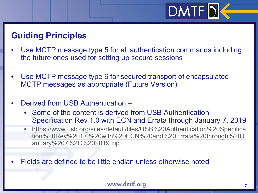## **Guiding Principles**

- Use MCTP message type 5 for all authentication commands including the future ones used for setting up secure sessions
- Use MCTP message type 6 for secured transport of encapsulated MCTP messages as appropriate (Future Version)
- Derived from USB Authentication
	- Some of the content is derived from USB Authentication Specification Rev 1.0 with ECN and Errata through January 7, 2019
	- https://www.usb.org/sites/default/files/USB%20Authentication%20Specifica tion%20Rev%201.0%20with%20ECN%20and%20Errata%20through%20J anuary%207%2C%202019.zip
- Fields are defined to be little endian unless otherwise noted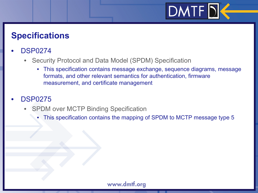# DMTFD<sup><</sup>

## **Specifications**

#### • DSP0274

- Security Protocol and Data Model (SPDM) Specification
	- This specification contains message exchange, sequence diagrams, message formats, and other relevant semantics for authentication, firmware measurement, and certificate management

### • DSP0275

- **SPDM over MCTP Binding Specification** 
	- This specification contains the mapping of SPDM to MCTP message type 5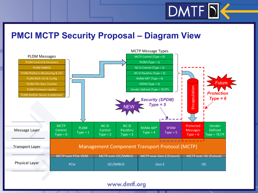# $DMTF$

### **PMCI MCTP Security Proposal – Diagram View**

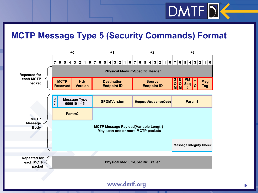# $DMTF$

## **MCTP Message Type 5 (Security Commands) Format**

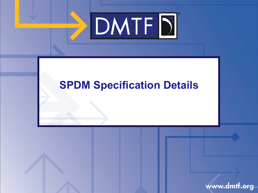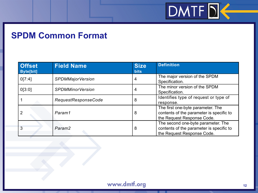### **SPDM Common Format**

| <b>Offset</b><br><b>Byte[bit]</b> | <b>Field Name</b>       | <b>Size</b><br><b>bits</b> | <b>Definition</b>                                                                                            |
|-----------------------------------|-------------------------|----------------------------|--------------------------------------------------------------------------------------------------------------|
| 0[7:4]                            | <b>SPDMMajorVersion</b> | 4                          | The major version of the SPDM<br>Specification.                                                              |
| 0[3:0]                            | <b>SPDMMinorVersion</b> | 4                          | The minor version of the SPDM<br>Specification.                                                              |
|                                   | RequestResponseCode     | 8                          | Identifies type of request or type of<br>response.                                                           |
|                                   | Param1                  | 8                          | The first one-byte parameter. The<br>contents of the parameter is specific to<br>the Request Response Code.  |
| 3                                 | Param <sub>2</sub>      | 8                          | The second one-byte parameter. The<br>contents of the parameter is specific to<br>the Request Response Code. |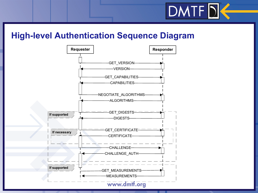# DMTF D

### **High-level Authentication Sequence Diagram**

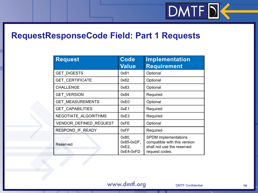# $DMTFD<sup>2</sup>$

### **RequestResponseCode Field: Part 1 Requests**

| <b>Request</b>                | Code<br><b>Value</b>                        | <b>Implementation</b><br><b>Requirement</b>                                                                 |
|-------------------------------|---------------------------------------------|-------------------------------------------------------------------------------------------------------------|
| <b>GET DIGESTS</b>            | 0x81                                        | Optional                                                                                                    |
| <b>GET CERTIFICATE</b>        | 0x82                                        | Optional                                                                                                    |
| <b>CHALLENGE</b>              | 0x83                                        | Optional                                                                                                    |
| <b>GET VERSION</b>            | 0x84                                        | Required                                                                                                    |
| <b>GET MEASUREMENTS</b>       | 0xE0                                        | Optional                                                                                                    |
| <b>GET CAPABILITIES</b>       | 0xE1                                        | Required                                                                                                    |
| NEGOTIATE ALGORITHMS          | 0xE3                                        | Required                                                                                                    |
| <b>VENDOR DEFINED REQUEST</b> | 0xFE                                        | Optional                                                                                                    |
| RESPOND IF READY              | 0xFF                                        | Required                                                                                                    |
| Reserved                      | 0x80,<br>$0x85-0xDF$ ,<br>0xE2<br>0xE4-0xFD | <b>SPDM</b> implementations<br>compatible with this version<br>shall not use the reserved<br>request codes. |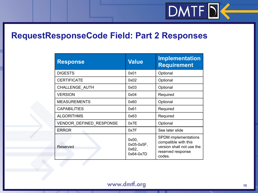

### **RequestResponseCode Field: Part 2 Responses**

| <b>Response</b>                | <b>Value</b>                                | Implementation<br><b>Requirement</b>                                                                            |
|--------------------------------|---------------------------------------------|-----------------------------------------------------------------------------------------------------------------|
| <b>DIGESTS</b>                 | 0x01                                        | Optional                                                                                                        |
| <b>CERTIFICATE</b>             | 0x02                                        | Optional                                                                                                        |
| <b>CHALLENGE AUTH</b>          | 0x03                                        | Optional                                                                                                        |
| <b>VERSION</b>                 | 0x04                                        | Required                                                                                                        |
| <b>MEASUREMENTS</b>            | 0x60                                        | Optional                                                                                                        |
| <b>CAPABILITIES</b>            | 0x61                                        | Required                                                                                                        |
| <b>ALGORITHMS</b>              | 0x63                                        | Required                                                                                                        |
| <b>VENDOR DEFINED RESPONSE</b> | 0x7E                                        | Optional                                                                                                        |
| <b>ERROR</b>                   | 0x7F                                        | See later slide                                                                                                 |
| Reserved                       | 0x00,<br>$0x05-0x5F$ ,<br>0x62<br>0x64-0x7D | <b>SPDM</b> implementations<br>compatible with this<br>version shall not use the<br>reserved response<br>codes. |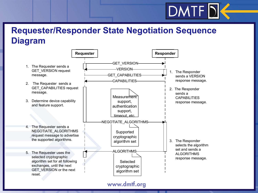### **Requester/Responder State Negotiation Sequence Diagram**

DMTFD<sup></sup>

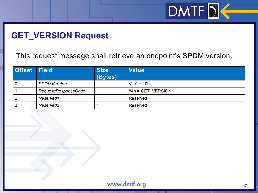# $DMTFD<sup>2</sup>$

## **GET\_VERSION Request**

This request message shall retrieve an endpoint's SPDM version.

| <b>Offset Field</b> |                      | <b>Size</b><br>(Bytes) | <b>Value</b>      |
|---------------------|----------------------|------------------------|-------------------|
| 0                   | <b>SPDMVersion</b>   |                        | $V1.0 = 10h$      |
|                     | Request/ResponseCode |                        | 84h = GET VERSION |
|                     | Reserved1            |                        | Reserved          |
|                     | Reserved2            |                        | Reserved          |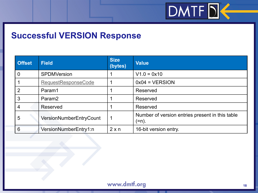### **Successful VERSION Response**

| <b>Offset</b>  | <b>Field</b>               | <b>Size</b><br>(bytes) | <b>Value</b>                                             |
|----------------|----------------------------|------------------------|----------------------------------------------------------|
| $\overline{0}$ | <b>SPDMVersion</b>         |                        | $V1.0 = 0x10$                                            |
|                | <b>RequestResponseCode</b> |                        | $0x04 = VERSION$                                         |
| $\overline{2}$ | Param1                     |                        | Reserved                                                 |
| 3              | Param <sub>2</sub>         |                        | Reserved                                                 |
| 4              | Reserved                   |                        | Reserved                                                 |
| 5              | VersionNumberEntryCount    |                        | Number of version entries present in this table<br>(=n). |
| 6              | VersionNumberEntry1:n      | $2 \times n$           | 16-bit version entry.                                    |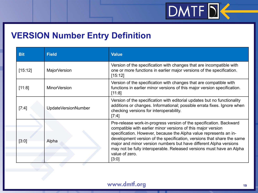### **VERSION Number Entry Definition**

| <b>Bit</b> | <b>Field</b>        | <b>Value</b>                                                                                                                                                                                                                                                                                                                                                                                                                                               |
|------------|---------------------|------------------------------------------------------------------------------------------------------------------------------------------------------------------------------------------------------------------------------------------------------------------------------------------------------------------------------------------------------------------------------------------------------------------------------------------------------------|
| [15:12]    | MajorVersion        | Version of the specification with changes that are incompatible with<br>one or more functions in earlier major versions of the specification.<br>[15:12]                                                                                                                                                                                                                                                                                                   |
| [11:8]     | MinorVersion        | Version of the specification with changes that are compatible with<br>functions in earlier minor versions of this major version specification.<br>[11:8]                                                                                                                                                                                                                                                                                                   |
| [7:4]      | UpdateVersionNumber | Version of the specification with editorial updates but no functionality<br>additions or changes. Informational; possible errata fixes. Ignore when<br>checking versions for interoperability.<br>[7:4]                                                                                                                                                                                                                                                    |
| [3:0]      | Alpha               | Pre-release work-in-progress version of the specification. Backward<br>compatible with earlier minor versions of this major version<br>specification. However, because the Alpha value represents an in-<br>development version of the specification, versions that share the same<br>major and minor version numbers but have different Alpha versions<br>may not be fully interoperable. Released versions must have an Alpha<br>value of zero.<br>[3:0] |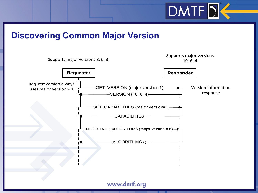

### **Discovering Common Major Version**

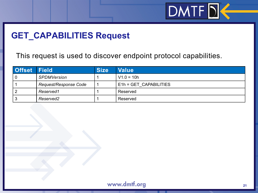# $DMTFD<sup>2</sup>$

## **GET\_CAPABILITIES Request**

This request is used to discover endpoint protocol capabilities.

| <b>Offset Field</b> |                       | <b>Size</b> | <b>Value</b>           |
|---------------------|-----------------------|-------------|------------------------|
|                     | <b>SPDMVersion</b>    |             | $V1.0 = 10h$           |
|                     | Request/Response Code |             | E1h = GET CAPABILITIES |
|                     | Reserved1             |             | Reserved               |
|                     | Reserved2             |             | Reserved               |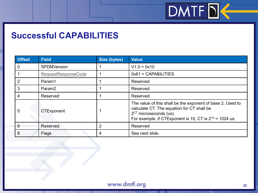

### **Successful CAPABILITIES**

| <b>Offset</b> | <b>Field</b>               | Size (bytes) | <b>Value</b>                                                                                                                                                                                        |
|---------------|----------------------------|--------------|-----------------------------------------------------------------------------------------------------------------------------------------------------------------------------------------------------|
| 0             | <b>SPDMVersion</b>         |              | $V1.0 = 0x10$                                                                                                                                                                                       |
|               | <b>RequestResponseCode</b> |              | $0x61 = CAPABILITIES$                                                                                                                                                                               |
| 2             | Param1                     |              | Reserved                                                                                                                                                                                            |
| 3             | Param <sub>2</sub>         |              | Reserved                                                                                                                                                                                            |
| 4             | Reserved                   |              | Reserved                                                                                                                                                                                            |
| 5             | <b>CTExponent</b>          |              | The value of this shall be the exponent of base 2. Used to<br>calculate CT. The equation for CT shall be<br>$2CT$ microseconds (us).<br>For example, if CTExponent is 10, CT is $2^{10}$ = 1024 us. |
| 6             | Reserved                   | 2            | Reserved                                                                                                                                                                                            |
| 8             | Flags                      | 4            | See next slide.                                                                                                                                                                                     |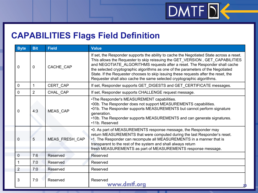## **CAPABILITIES Flags Field Definition**

| <b>Byte</b>    | <b>Bit</b> | <b>Field</b>   | <b>Value</b>                                                                                                                                                                                                                                                                                                                                                                                                                                                                                                 |  |
|----------------|------------|----------------|--------------------------------------------------------------------------------------------------------------------------------------------------------------------------------------------------------------------------------------------------------------------------------------------------------------------------------------------------------------------------------------------------------------------------------------------------------------------------------------------------------------|--|
| 0              | 0          | CACHE CAP      | If set, the Responder supports the ability to cache the Negotiated State across a reset.<br>This allows the Requester to skip reissuing the GET_VERSION, GET_CAPABILITIES<br>and NEGOTIATE ALGORITHMS requests after a reset. The Responder shall cache<br>the selected cryptographic algorithms as one of the parameters of the Negotiated<br>State. If the Requester chooses to skip issuing these requests after the reset, the<br>Requester shall also cache the same selected cryptographic algorithms. |  |
| $\overline{0}$ | 1          | CERT_CAP       | If set, Responder supports GET_DIGESTS and GET_CERTIFICATE messages.                                                                                                                                                                                                                                                                                                                                                                                                                                         |  |
| $\overline{0}$ | 2          | CHAL_CAP       | If set, Responder supports CHALLENGE request message.                                                                                                                                                                                                                                                                                                                                                                                                                                                        |  |
| $\overline{0}$ | 4:3        | MEAS CAP       | •The Responder's MEASUREMENT capabilities.<br>.00b. The Responder does not support MEASUREMENTS capabilities.<br>.01b. The Responder supports MEASUREMENTS but cannot perform signature<br>generation.<br>•10b. The Responder supports MEASUREMENTS and can generate signatures.<br>•11b. Reserved                                                                                                                                                                                                           |  |
| $\overline{0}$ | 5          | MEAS FRESH CAP | •0. As part of MEASUREMENTS response message, the Responder may<br>return MEASUREMENTS that were computed during the last Responder's reset.<br>•1. The Responder can recompute all MEASUREMENTS in a manner that is<br>transparent to the rest of the system and shall always return<br>fresh MEASUREMENTS as part of MEASUREMENTS response message.                                                                                                                                                        |  |
| $\overline{0}$ | 7:6        | Reserved       | Reserved                                                                                                                                                                                                                                                                                                                                                                                                                                                                                                     |  |
|                | 7:0        | Reserved       | Reserved                                                                                                                                                                                                                                                                                                                                                                                                                                                                                                     |  |
| $\overline{2}$ | 7:0        | Reserved       | Reserved                                                                                                                                                                                                                                                                                                                                                                                                                                                                                                     |  |
| 3              | 7:0        | Reserved       | Reserved<br>www.dmff.org<br>23                                                                                                                                                                                                                                                                                                                                                                                                                                                                               |  |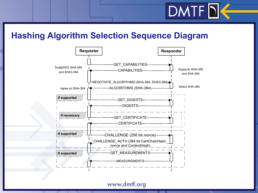

### **Hashing Algorithm Selection Sequence Diagram**

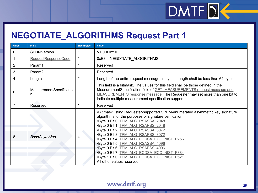## **NEGOTIATE\_ALGORITHMS Request Part 1**

| <b>Offset</b> | <b>Field</b>                 | Size (bytes)   | <b>Value</b>                                                                                                                                                                                                                                                                                                                                                                                                                                                                                                                                         |  |
|---------------|------------------------------|----------------|------------------------------------------------------------------------------------------------------------------------------------------------------------------------------------------------------------------------------------------------------------------------------------------------------------------------------------------------------------------------------------------------------------------------------------------------------------------------------------------------------------------------------------------------------|--|
| 0             | <b>SPDMVersion</b>           |                | $V1.0 = 0x10$                                                                                                                                                                                                                                                                                                                                                                                                                                                                                                                                        |  |
| 1             | RequestResponseCode          |                | 0xE3 = NEGOTIATE_ALGORITHMS                                                                                                                                                                                                                                                                                                                                                                                                                                                                                                                          |  |
| 2             | Param1                       |                | Reserved                                                                                                                                                                                                                                                                                                                                                                                                                                                                                                                                             |  |
| 3             | Param <sub>2</sub>           |                | Reserved                                                                                                                                                                                                                                                                                                                                                                                                                                                                                                                                             |  |
| 4             | Length                       | $\overline{2}$ | Length of the entire request message, in bytes. Length shall be less than 64 bytes.                                                                                                                                                                                                                                                                                                                                                                                                                                                                  |  |
| 6             | MeasurementSpecificatio<br>n |                | This field is a bitmask. The values for this field shall be those defined in the<br>MeasurementSpecification field of GET MEASUREMENTS request message and<br>MEASUREMENTS response message. The Requester may set more than one bit to<br>indicate multiple measurement specification support.                                                                                                                                                                                                                                                      |  |
| 7             | Reserved                     |                | Reserved                                                                                                                                                                                                                                                                                                                                                                                                                                                                                                                                             |  |
| 8             | <b>BaseAsymAlgo</b>          | 4              | •Bit mask listing Requester-supported SPDM-enumerated asymmetric key signature<br>algorithms for the purposes of signature verification.<br>*Byte 0 Bit 0. TPM ALG RSASSA 2048<br>.Byte 0 Bit 1. TPM ALG RSAPSS 2048<br>.Byte 0 Bit 2. TPM ALG RSASSA 3072<br>.Byte 0 Bit 3. TPM ALG RSAPSS 3072<br>.Byte 0 Bit 4. TPM ALG ECDSA ECC NIST P256<br>.Byte 0 Bit 5. TPM ALG RSASSA 4096<br>.Byte 0 Bit 6. TPM ALG RSAPSS 4096<br>.Byte 0 Bit 7. TPM ALG ECDSA ECC NIST P384<br>.Byte 1 Bit 0. TPM ALG ECDSA ECC NIST P521<br>All other values reserved. |  |

DMTFDE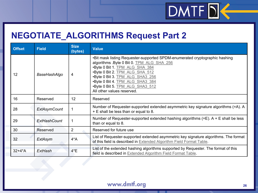## **NEGOTIATE\_ALGORITHMS Request Part 2**

| <b>Offset</b> | <b>Field</b>        | <b>Size</b><br>(bytes) | <b>Value</b>                                                                                                                                                                                                                                                                                                                         |  |
|---------------|---------------------|------------------------|--------------------------------------------------------------------------------------------------------------------------------------------------------------------------------------------------------------------------------------------------------------------------------------------------------------------------------------|--|
| 12            | BaseHashAlgo        | 4                      | •Bit mask listing Requester-supported SPDM-enumerated cryptographic hashing<br>algorithms . Byte 0 Bit 0. TPM ALG SHA 256<br>•Byte 0 Bit 1. TPM ALG SHA 384<br>•Byte 0 Bit 2. TPM ALG SHA 512<br>•Byte 0 Bit 3. TPM ALG SHA3 256<br>.Byte 0 Bit 4. TPM ALG SHA3 384<br>*Byte 0 Bit 5. TPM ALG SHA3 512<br>All other values reserved. |  |
| 16            | Reserved            | 12                     | Reserved                                                                                                                                                                                                                                                                                                                             |  |
| 28            | <b>ExtAsymCount</b> |                        | Number of Requester-supported extended asymmetric key signature algorithms (=A). A<br>+ E shall be less than or equal to 8.                                                                                                                                                                                                          |  |
| 29            | <b>ExtHashCount</b> |                        | Number of Requester-supported extended hashing algorithms $(=E)$ . A + E shall be less<br>than or equal to 8.                                                                                                                                                                                                                        |  |
| 30            | Reserved            | $\overline{2}$         | Reserved for future use                                                                                                                                                                                                                                                                                                              |  |
| 32            | ExtAsym             | $4^{\ast}$ A           | List of Requester-supported extended asymmetric key signature algorithms. The format<br>of this field is described in Extended Algorithm Field Format Table.                                                                                                                                                                         |  |
| $32+4*A$      | ExtHash             | 4E                     | List of the extended hashing algorithms supported by Requester. The format of this<br>field is described in Extended Algorithm Field Format Table.                                                                                                                                                                                   |  |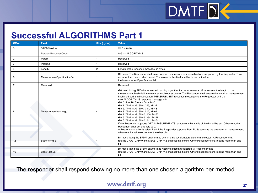$DMTF$ 

## **Successful ALGORITHMS Part 1**

| <b>Offset</b>    | <b>Field</b>                | Size (bytes)   | Value                                                                                                                                                                                                                                                                                                                                                                                                                                                                                                                                                                                                                                                                                                                                                                                                                                                                                                                                 |
|------------------|-----------------------------|----------------|---------------------------------------------------------------------------------------------------------------------------------------------------------------------------------------------------------------------------------------------------------------------------------------------------------------------------------------------------------------------------------------------------------------------------------------------------------------------------------------------------------------------------------------------------------------------------------------------------------------------------------------------------------------------------------------------------------------------------------------------------------------------------------------------------------------------------------------------------------------------------------------------------------------------------------------|
| $\mathbf 0$      | SPDMVersion                 |                | $V1.0 = 0x10$                                                                                                                                                                                                                                                                                                                                                                                                                                                                                                                                                                                                                                                                                                                                                                                                                                                                                                                         |
| $\mathbf{1}$     | RequestResponseCode         |                | $0x63 = ALGORITHMS$                                                                                                                                                                                                                                                                                                                                                                                                                                                                                                                                                                                                                                                                                                                                                                                                                                                                                                                   |
| 2                | Param1                      |                | Reserved                                                                                                                                                                                                                                                                                                                                                                                                                                                                                                                                                                                                                                                                                                                                                                                                                                                                                                                              |
| 3                | Param <sub>2</sub>          |                | Reserved                                                                                                                                                                                                                                                                                                                                                                                                                                                                                                                                                                                                                                                                                                                                                                                                                                                                                                                              |
| $\boldsymbol{4}$ | Length                      | $\overline{2}$ | Length of the response message, in bytes.                                                                                                                                                                                                                                                                                                                                                                                                                                                                                                                                                                                                                                                                                                                                                                                                                                                                                             |
| 6                | MeasurementSpecificationSel |                | Bit mask. The Responder shall select one of the measurement specifications supported by the Requester. Thus,<br>no more than one bit shall be set. The values in this field shall be those defined in<br>the MeasurementSpecification field.                                                                                                                                                                                                                                                                                                                                                                                                                                                                                                                                                                                                                                                                                          |
|                  | Reserved                    |                | Reserved                                                                                                                                                                                                                                                                                                                                                                                                                                                                                                                                                                                                                                                                                                                                                                                                                                                                                                                              |
|                  | MeasurementHashAlgo         | $\overline{4}$ | . Bit mask listing SPDM-enumerated hashing algorithm for measurements. M represents the length of the<br>measurement hash field in measurement block structure. The Responder shall ensure the length of measurement<br>hash field during all subsequent MEASUREMENT response messages to the Requester until the<br>next ALGORITHMS response message is M.<br>.Bit 0. Raw Bit Stream Only, M=0<br>.Bit 1. TPM ALG SHA 256, M=32<br>.Bit 2. TPM ALG SHA 384, M=48<br>.Bit 3. TPM ALG SHA 512, M=64<br>•Bit 4. TPM ALG SHA3 256, M=32<br>.Bit 5. TPM ALG SHA3 384, M=48<br>•Bit 6. TPM ALG SHA3 512, M=64<br>If the Responder supports GET_MEASUREMENTS, exactly one bit in this bit field shall be set. Otherwise, the<br>Responder shall set this field to 0.<br>A Responder shall only select Bit 0 if the Responder supports Raw Bit Streams as the only form of measurement;<br>otherwise, it shall select one of the other bits. |
| 12               | BaseAsymSel                 |                | Bit mask listing the SPDM-enumerated asymmetric key signature algorithm selected. A Responder that<br>returns CHAL CAP=0 and MEAS CAP != 2 shall set this field 0. Other Responders shall set no more than one<br>bit.                                                                                                                                                                                                                                                                                                                                                                                                                                                                                                                                                                                                                                                                                                                |
| 16               | BaseHashSel                 |                | Bit mask listing the SPDM-enumerated hashing algorithm selected. A Responder that<br>returns CHAL_CAP=0 and MEAS_CAP != 2 shall set this field 0. Other Responders shall set no more than one<br>bit.                                                                                                                                                                                                                                                                                                                                                                                                                                                                                                                                                                                                                                                                                                                                 |

The responder shall respond showing no more than one chosen algorithm per method.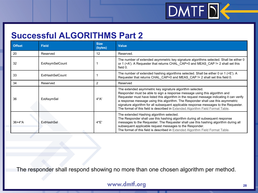$DMTFD<sup>2</sup>$ 

## **Successful ALGORITHMS Part 2**

| <b>Offset</b> | <b>Field</b>           | <b>Size</b><br>(bytes) | <b>Value</b>                                                                                                                                                                                                                                                                                                                                                                                                                                                                                         |
|---------------|------------------------|------------------------|------------------------------------------------------------------------------------------------------------------------------------------------------------------------------------------------------------------------------------------------------------------------------------------------------------------------------------------------------------------------------------------------------------------------------------------------------------------------------------------------------|
| 20            | Reserved               | 12                     | Reserved.                                                                                                                                                                                                                                                                                                                                                                                                                                                                                            |
| 32            | <b>ExtAsymSelCount</b> |                        | The number of extended asymmetric key signature algorithms selected. Shall be either 0<br>or 1 (=A'). A Requester that returns CHAL CAP=0 and MEAS CAP != 2 shall set this<br>field 0.                                                                                                                                                                                                                                                                                                               |
| 33            | ExtHashSelCount        |                        | The number of extended hashing algorithms selected. Shall be either 0 or 1 (= $E'$ ). A<br>Requester that returns CHAL CAP=0 and MEAS CAP != 2 shall set this field 0.                                                                                                                                                                                                                                                                                                                               |
| 34            | Reserved               | 2                      | Reserved                                                                                                                                                                                                                                                                                                                                                                                                                                                                                             |
| 36            | ExtAsymSel             | $4^{\ast}$ A'          | The extended asymmetric key signature algorithm selected.<br>Responder must be able to sign a response message using this algorithm and<br>Requester must have listed this algorithm in the request message indicating it can verify<br>a response message using this algorithm. The Responder shall use this asymmetric<br>signature algorithm for all subsequent applicable response messages to the Requester.<br>The format of this field is described in Extended Algorithm Field Format Table. |
| $36+4*A$      | ExtHashSel             | 4E'                    | The extended Hashing algorithm selected.<br>The Responder shall use this hashing algorithm during all subsequent response<br>messages to the Requester. The Requester shall use this hashing algorithm during all<br>subsequent applicable request messages to the Responder.<br>The format of this field is described in Extended Algorithm Field Format Table.                                                                                                                                     |

The responder shall respond showing no more than one chosen algorithm per method.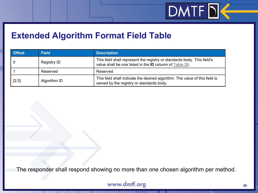

### **Extended Algorithm Format Field Table**

| <b>Offset</b> | <b>Field</b> | <b>Description</b>                                                                                                                        |  |
|---------------|--------------|-------------------------------------------------------------------------------------------------------------------------------------------|--|
| 0             | Registry ID  | This field shall represent the registry or standards body. This field's<br>value shall be one listed in the <b>ID</b> column of Table 29. |  |
|               | Reserved     | Reserved                                                                                                                                  |  |
| [2:3]         | Algorithm ID | This field shall indicate the desired algorithm. The value of this field is<br>owned by the registry or standards body.                   |  |

The responder shall respond showing no more than one chosen algorithm per method.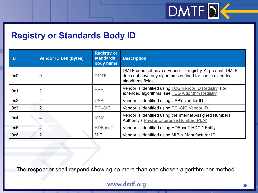### **Registry or Standards Body ID**

| ID  | <b>Vendor ID Len (bytes)</b> | <b>Registry or</b><br><b>standards</b><br>body name | <b>Description</b>                                                                                                                          |
|-----|------------------------------|-----------------------------------------------------|---------------------------------------------------------------------------------------------------------------------------------------------|
| 0x0 | $\overline{0}$               | <b>DMTF</b>                                         | DMTF does not have a Vendor ID registry. At present, DMTF<br>does not have any algorithms defined for use in extended<br>algorithms fields. |
| 0x1 | 2                            | <b>TCG</b>                                          | Vendor is identified using TCG Vendor ID Registry. For<br>extended algorithms, see TCG Algorithm Registry.                                  |
| 0x2 | 2                            | <b>USB</b>                                          | Vendor is identified using USB's vendor ID.                                                                                                 |
| 0x3 | $\overline{2}$               | <b>PCI-SIG</b>                                      | Vendor is identified using PCI-SIG Vendor ID.                                                                                               |
| 0x4 | 4                            | <b>IANA</b>                                         | Vendor is identified using the Internet Assigned Numbers<br>Authority's Private Enterprise Number (PEN).                                    |
| 0x5 | 4                            | <b>HDBaseT</b>                                      | Vendor is identified using HDBaseT HDCD Entity.                                                                                             |
| 0x6 | $\overline{2}$               | <b>MIPI</b>                                         | Vendor is identified using MIPI's Manufacturer ID                                                                                           |

The responder shall respond showing no more than one chosen algorithm per method.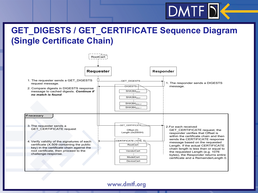## **GET\_DIGESTS / GET\_CERTIFICATE Sequence Diagram (Single Certificate Chain)**

 $DMTF$ 

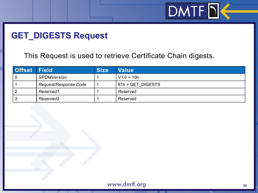## **GET\_DIGESTS Request**

This Request is used to retrieve Certificate Chain digests.

| <b>Offset Field</b> |                       | <b>Size</b> | <b>Value</b>      |
|---------------------|-----------------------|-------------|-------------------|
|                     | <b>SPDMVersion</b>    |             | $V1.0 = 10h$      |
|                     | Request/Response Code |             | 81h = GET DIGESTS |
|                     | Reserved1             |             | Reserved          |
|                     | Reserved2             |             | Reserved          |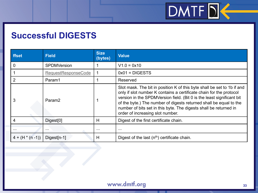

### **Successful DIGESTS**

| ffset            | <b>Field</b>          | <b>Size</b><br>(bytes) | <b>Value</b>                                                                                                                                                                                                                                                                                                                                                                                            |
|------------------|-----------------------|------------------------|---------------------------------------------------------------------------------------------------------------------------------------------------------------------------------------------------------------------------------------------------------------------------------------------------------------------------------------------------------------------------------------------------------|
| 0                | <b>SPDMVersion</b>    |                        | $V1.0 = 0x10$                                                                                                                                                                                                                                                                                                                                                                                           |
|                  | RequestResponseCode   |                        | $0x01 = DIGESTS$                                                                                                                                                                                                                                                                                                                                                                                        |
|                  | Param1                |                        | Reserved                                                                                                                                                                                                                                                                                                                                                                                                |
| 3                | Param <sub>2</sub>    |                        | Slot mask. The bit in position K of this byte shall be set to 1b if and<br>only if slot number K contains a certificate chain for the protocol<br>version in the SPDMVersion field. (Bit 0 is the least significant bit)<br>of the byte.) The number of digests returned shall be equal to the<br>number of bits set in this byte. The digests shall be returned in<br>order of increasing slot number. |
| 4                | Digest <sup>[0]</sup> | H                      | Digest of the first certificate chain.                                                                                                                                                                                                                                                                                                                                                                  |
| $\cdots$         | $\sim$ $\sim$ $\sim$  | $\cdots$               | $\sim$ $\sim$ $\sim$                                                                                                                                                                                                                                                                                                                                                                                    |
| $4 + (H^*(n-1))$ | $Digest[n-1]$         | Н                      | Digest of the last $(nth)$ certificate chain.                                                                                                                                                                                                                                                                                                                                                           |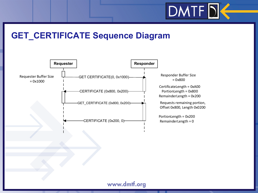

### **GET\_CERTIFICATE Sequence Diagram**

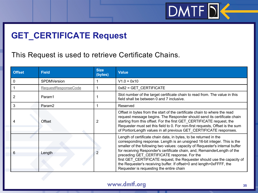## **GET\_CERTIFICATE Request**

#### This Request is used to retrieve Certificate Chains.

| <b>Offset</b> | <b>Field</b>        | <b>Size</b><br>(bytes) | <b>Value</b>                                                                                                                                                                                                                                                                                                                                                                                                                                                                                                                                             |
|---------------|---------------------|------------------------|----------------------------------------------------------------------------------------------------------------------------------------------------------------------------------------------------------------------------------------------------------------------------------------------------------------------------------------------------------------------------------------------------------------------------------------------------------------------------------------------------------------------------------------------------------|
| 0             | <b>SPDMVersion</b>  |                        | $V1.0 = 0x10$                                                                                                                                                                                                                                                                                                                                                                                                                                                                                                                                            |
|               | RequestResponseCode |                        | $0x82 = GET CERTIFICATE$                                                                                                                                                                                                                                                                                                                                                                                                                                                                                                                                 |
|               | Param1              |                        | Slot number of the target certificate chain to read from. The value in this<br>field shall be between 0 and 7 inclusive.                                                                                                                                                                                                                                                                                                                                                                                                                                 |
| 3             | Param <sub>2</sub>  |                        | Reserved                                                                                                                                                                                                                                                                                                                                                                                                                                                                                                                                                 |
|               | Offset              | $\overline{2}$         | Offset in bytes from the start of the certificate chain to where the read<br>request message begins. The Responder should send its certificate chain<br>starting from this offset. For the first GET_CERTIFICATE request, the<br>Requester must set this field to 0. For non-first requests, Offset is the sum<br>of PortionLength values in all previous GET CERTIFICATE responses.                                                                                                                                                                     |
| 6             | Length              | $\overline{2}$         | Length of certificate chain data, in bytes, to be returned in the<br>corresponding response. Length is an unsigned 16-bit integer. This is the<br>smaller of the following two values: capacity of Requester's internal buffer<br>for receiving Responder's certificate chain, and, RemainderLength of the<br>preceding GET CERTIFICATE response. For the<br>first GET_CERTIFICATE request, the Requester should use the capacity of<br>the Requester's receiving buffer. If offset=0 and length=0xFFFF, the<br>Requester is requesting the entire chain |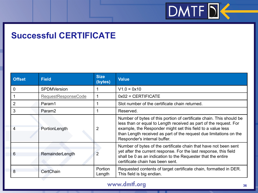## **Successful CERTIFICATE**

| <b>Offset</b> | <b>Field</b>        | <b>Size</b><br>(bytes) | <b>Value</b>                                                                                                                                                                                                                                                                                                   |
|---------------|---------------------|------------------------|----------------------------------------------------------------------------------------------------------------------------------------------------------------------------------------------------------------------------------------------------------------------------------------------------------------|
| 0             | <b>SPDMVersion</b>  |                        | $V1.0 = 0x10$                                                                                                                                                                                                                                                                                                  |
|               | RequestResponseCode |                        | $0x02 = CERTIFICATE$                                                                                                                                                                                                                                                                                           |
|               | Param1              |                        | Slot number of the certificate chain returned.                                                                                                                                                                                                                                                                 |
| 3             | Param <sub>2</sub>  |                        | Reserved.                                                                                                                                                                                                                                                                                                      |
| 4             | PortionLength       | 2                      | Number of bytes of this portion of certificate chain. This should be<br>less than or equal to Length received as part of the request. For<br>example, the Responder might set this field to a value less<br>than Length received as part of the request due limitations on the<br>Responder's internal buffer. |
| 6             | RemainderLength     |                        | Number of bytes of the certificate chain that have not been sent<br>yet after the current response. For the last response, this field<br>shall be 0 as an indication to the Requester that the entire<br>certificate chain has been sent.                                                                      |
| 8             | CertChain           | Portion<br>Length      | Requested contents of target certificate chain, formatted in DER.<br>This field is big endian.                                                                                                                                                                                                                 |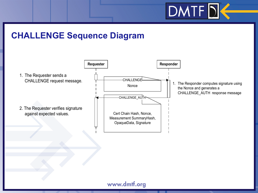## **CHALLENGE Sequence Diagram**

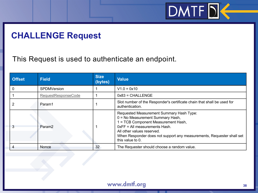## **CHALLENGE Request**

This Request is used to authenticate an endpoint.

| <b>Offset</b> | <b>Field</b>        | <b>Size</b><br>(bytes) | Value                                                                                                                                                                                                                                                                           |
|---------------|---------------------|------------------------|---------------------------------------------------------------------------------------------------------------------------------------------------------------------------------------------------------------------------------------------------------------------------------|
|               | <b>SPDMVersion</b>  |                        | $V1.0 = 0x10$                                                                                                                                                                                                                                                                   |
|               | RequestResponseCode |                        | $0x83 = CHALLENGE$                                                                                                                                                                                                                                                              |
|               | Param1              |                        | Slot number of the Responder's certificate chain that shall be used for<br>authentication.                                                                                                                                                                                      |
| 3             | Param <sub>2</sub>  |                        | Requested Measurement Summary Hash Type:<br>0 = No Measurement Summary Hash,<br>1 = TCB Component Measurement Hash,<br>OxFF = All measurements Hash.<br>All other values reserved.<br>When Responder does not support any measurements, Requester shall set<br>this value to 0. |
|               | <b>Nonce</b>        | 32                     | The Requester should choose a random value.                                                                                                                                                                                                                                     |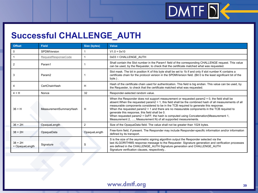## **Successful CHALLENGE\_AUTH**

| <b>Offset</b>               | <b>Field</b>                                    | Size (bytes) | Value                                                                                                                                                                                                                                                                                                                                                                                                                                                                                                                                                                                                           |
|-----------------------------|-------------------------------------------------|--------------|-----------------------------------------------------------------------------------------------------------------------------------------------------------------------------------------------------------------------------------------------------------------------------------------------------------------------------------------------------------------------------------------------------------------------------------------------------------------------------------------------------------------------------------------------------------------------------------------------------------------|
| 0                           | SPDMVersion                                     | 1            | $V1.0 = 0x10$                                                                                                                                                                                                                                                                                                                                                                                                                                                                                                                                                                                                   |
|                             | RequestResponseCode                             | 1            | 0x03 = CHALLENGE AUTH                                                                                                                                                                                                                                                                                                                                                                                                                                                                                                                                                                                           |
| 2                           | Param1                                          |              | Shall contain the Slot number in the Param1 field of the corresponding CHALLENGE request. This value<br>can be used, by the Requester, to check that the certificate matched what was requested.                                                                                                                                                                                                                                                                                                                                                                                                                |
| 3                           | Param <sub>2</sub>                              |              | Slot mask. The bit in position K of this byte shall be set to 1b if and only if slot number K contains a<br>certificate chain for the protocol version in the SPDMVersion field. (Bit 0 is the least significant bit of the<br>byte. $)$ .                                                                                                                                                                                                                                                                                                                                                                      |
|                             | CertChainHash                                   | H            | Hash of the certificate chain used for authentication. This field is big endian. This value can be used, by<br>the Requester, to check that the certificate matched what was requested.                                                                                                                                                                                                                                                                                                                                                                                                                         |
| $4 + H$                     | 32<br>Responder-selected random value.<br>Nonce |              |                                                                                                                                                                                                                                                                                                                                                                                                                                                                                                                                                                                                                 |
| $36 + H$                    | MeasurementSummaryHash                          | H            | When the Responder does not support measurement or requested param $2 = 0$ , the field shall be<br>absent. When the requested param2 = 1, this field shall be the combined hash of all measurements of all<br>measurable components considered to be in the TCB required to generate this response.<br>When the requested param2 = 1 and there are no measurable components in the TCB required to<br>generate this response, this field shall be 0.<br>When requested param2 = 0xFF; the hash is computed using Concatenation(Measurement 1,<br>Measurement 2, , Measurement N) of all supported measurements. |
| $36 + 2H$                   | OpaqueLength                                    | 2            | Size of the OpaqueData field. The value shall not be greater than 1024 bytes.                                                                                                                                                                                                                                                                                                                                                                                                                                                                                                                                   |
| $38 + 2H$                   | OpaqueData                                      | OpaqueLength | Free-form field, if present. The Responder may include Responder-specific information and/or information<br>defined by its transport.                                                                                                                                                                                                                                                                                                                                                                                                                                                                           |
| $38 + 2H$<br>+ OpaqueLength | Signature                                       | S            | S is the size of the asymmetric signing algorithm output the Responder selected via the<br>last ALGORITHMS response message to the Requester. Signature generation and verification processes<br>are defined in the CHALLENGE_AUTH Signature generation and CHALLENGE_AUTH<br>Signature verification clauses, respectively                                                                                                                                                                                                                                                                                      |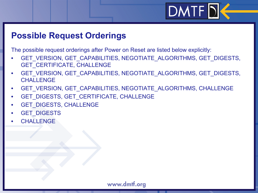# DMTF D

### **Possible Request Orderings**

The possible request orderings after Power on Reset are listed below explicitly:

- GET\_VERSION, GET\_CAPABILITIES, NEGOTIATE\_ALGORITHMS, GET\_DIGESTS, GET\_CERTIFICATE, CHALLENGE
- GET\_VERSION, GET\_CAPABILITIES, NEGOTIATE\_ALGORITHMS, GET\_DIGESTS, CHALL FNGF
- GET\_VERSION, GET\_CAPABILITIES, NEGOTIATE\_ALGORITHMS, CHALLENGE
- GET\_DIGESTS, GET\_CERTIFICATE, CHALLENGE
- **GET\_DIGESTS, CHALLENGE**
- **GET\_DIGESTS**
- **CHALLENGE**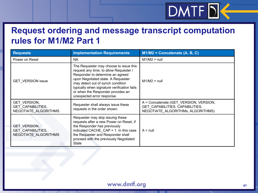### **Request ordering and message transcript computation rules for M1/M2 Part 1**

DMTFDE

| <b>Requests</b>                                                         | <b>Implementation Requirements</b>                                                                                                                                                                                                                                                                                | $M1/M2 =$ Concatenate (A, B, C)                                                                                |
|-------------------------------------------------------------------------|-------------------------------------------------------------------------------------------------------------------------------------------------------------------------------------------------------------------------------------------------------------------------------------------------------------------|----------------------------------------------------------------------------------------------------------------|
| Power on Reset                                                          | <b>NA</b>                                                                                                                                                                                                                                                                                                         | $M1/M2 = null$                                                                                                 |
| <b>GET VERSION issue</b>                                                | The Requester may choose to issue this<br>request any time, to allow Requester /<br>Responder to determine an agreed<br>upon Negotiated state. A Requester<br>may detect out of synch condition<br>typically when signature verification fails<br>or when the Responder provides an<br>unexpected error response. | $M1/M2 = null$                                                                                                 |
| GET VERSION,<br><b>GET CAPABILITIES,</b><br>NEGOTIATE ALGORITHMS        | Requester shall always issue these<br>requests in the order shown.                                                                                                                                                                                                                                                | A = Concatenate (GET_VERSION, VERSION,<br>GET CAPABILITIES, CAPABILITIES,<br>NEGOTIATE ALGORITHMs, ALGORITHMS) |
| <b>GET VERSION,</b><br><b>GET CAPABILITIES,</b><br>NEGOTIATE_ALGORITHMS | Requester may skip issuing these<br>requests after a new Power on Reset, if<br>the Responder has previously<br>indicated CACHE $CAP = 1$ . In this case<br>the Requester and Responder shall<br>proceed with the previously Negotiated<br>State                                                                   | $A = null$                                                                                                     |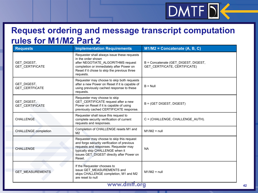### **Request ordering and message transcript computation rules for M1/M2 Part 2**

DMTFD

| <b>Requests</b>                       | <b>Implementation Requirements</b>                                                                                                                                                                                           | M1/M2 = Concatenate (A, B, C)                                        |  |  |  |
|---------------------------------------|------------------------------------------------------------------------------------------------------------------------------------------------------------------------------------------------------------------------------|----------------------------------------------------------------------|--|--|--|
| GET DIGEST,<br><b>GET CERTIFICATE</b> | Requester shall always issue these requests<br>in the order shown<br>after NEGOTIATE ALGORITHMS request<br>completion or immediately after Power on<br>Reset if it chose to skip the previous three<br>requests.             | B = Concatenate (GET_DIGEST, DIGEST,<br>GET CERTFICATE, CERTIFICATE) |  |  |  |
| GET DIGEST,<br><b>GET CERTFICATE</b>  | Requester may choose to skip both requests<br>after a new Power on Reset if it is capable of<br>using previously cached response to these<br>requests.                                                                       | $B = Null$                                                           |  |  |  |
| GET DIGEST,<br><b>GET CERTIFICATE</b> | Requester may choose to skip<br>GET CERTIFICATE request after a new<br>Power on Reset if it is capable of using<br>previously cached CERTIFICATE response.                                                                   | B = (GET DIGEST, DIGEST)                                             |  |  |  |
| <b>CHALLENGE</b>                      | Requester shall issue this request to<br>complete security verification of current<br>requests and responses.                                                                                                                | C = (CHALLENGE, CHALLENGE AUTH).                                     |  |  |  |
| <b>CHALLENGE</b> completion           | Completion of CHALLENGE resets M1 and<br>M <sub>2</sub>                                                                                                                                                                      | $M1/M2 = null$                                                       |  |  |  |
| <b>CHALLENGE</b>                      | Requester may choose to skip this request<br>and forgo security verification of previous<br>requests and responses. Requester may<br>typically skip CHALLENGE when it<br>issues GET DIGEST directly after Power on<br>Reset. | <b>NA</b>                                                            |  |  |  |
| <b>GET MEASUREMENTS</b>               | If the Requester chooses to<br>issue GET MEASUREMENTS and<br>skips CHALLENGE completion, M1 and M2<br>are reset to null                                                                                                      | $M1/M2 = null$                                                       |  |  |  |
| www.dmff.org                          |                                                                                                                                                                                                                              |                                                                      |  |  |  |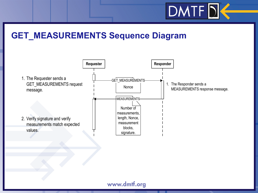## **GET\_MEASUREMENTS Sequence Diagram**

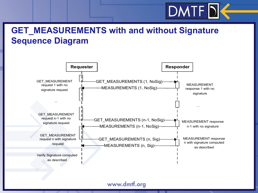# $DMTF$

## **GET\_MEASUREMENTS with and without Signature Sequence Diagram**

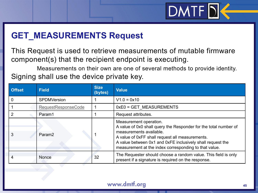# $|DMTF|$

### **GET\_MEASUREMENTS Request**

This Request is used to retrieve measurements of mutable firmware component(s) that the recipient endpoint is executing.

Measurements on their own are one of several methods to provide identity. Signing shall use the device private key.

| <b>Offset</b> | <b>Field</b>               | <b>Size</b><br>(bytes) | <b>Value</b>                                                                                                                                                                                                                                                                                    |
|---------------|----------------------------|------------------------|-------------------------------------------------------------------------------------------------------------------------------------------------------------------------------------------------------------------------------------------------------------------------------------------------|
|               | <b>SPDMVersion</b>         |                        | $V1.0 = 0x10$                                                                                                                                                                                                                                                                                   |
|               | <b>RequestResponseCode</b> |                        | 0xE0 = GET MEASUREMENTS                                                                                                                                                                                                                                                                         |
|               | Param1                     |                        | Request attributes.                                                                                                                                                                                                                                                                             |
| 3             | Param <sub>2</sub>         |                        | Measurement operation.<br>A value of 0x0 shall query the Responder for the total number of<br>measurements available.<br>A value of 0xFF shall request all measurements.<br>A value between 0x1 and 0xFE inclusively shall request the<br>measurement at the index corresponding to that value. |
|               | <b>Nonce</b>               | 32                     | The Requester should choose a random value. This field is only<br>present if a signature is required on the response.                                                                                                                                                                           |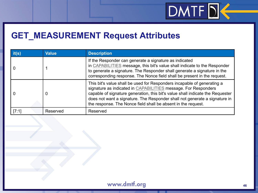## **GET\_MEASUREMENT Request Attributes**

| it(s) | <b>Value</b> | <b>Description</b>                                                                                                                                                                                                                                                                                                                                                         |
|-------|--------------|----------------------------------------------------------------------------------------------------------------------------------------------------------------------------------------------------------------------------------------------------------------------------------------------------------------------------------------------------------------------------|
|       |              | If the Responder can generate a signature as indicated<br>in CAPABILITIES message, this bit's value shall indicate to the Responder<br>to generate a signature. The Responder shall generate a signature in the<br>corresponding response. The Nonce field shall be present in the request.                                                                                |
|       | 0            | This bit's value shall be used for Responders incapable of generating a<br>signature as indicated in CAPABILITIES message. For Responders<br>capable of signature generation, this bit's value shall indicate the Requester<br>does not want a signature. The Responder shall not generate a signature in<br>the response. The Nonce field shall be absent in the request. |
| [7:1] | Reserved     | Reserved                                                                                                                                                                                                                                                                                                                                                                   |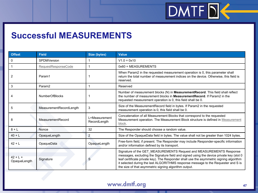### **Successful MEASUREMENTS**

| <b>Offset</b>              | <b>Field</b>            | <b>Size (bytes)</b>           | <b>Value</b>                                                                                                                                                                                                                                                                                                                                                                                            |
|----------------------------|-------------------------|-------------------------------|---------------------------------------------------------------------------------------------------------------------------------------------------------------------------------------------------------------------------------------------------------------------------------------------------------------------------------------------------------------------------------------------------------|
| 0                          | SPDMVersion             |                               | $V1.0 = 0x10$                                                                                                                                                                                                                                                                                                                                                                                           |
|                            | RequestResponseCode     |                               | $0x60$ = MEASUREMENTS                                                                                                                                                                                                                                                                                                                                                                                   |
| 2                          | Param1                  |                               | When Param2 in the requested measurement operation is 0, this parameter shall<br>return the total number of measurement indices on the device. Otherwise, this field is<br>reserved.                                                                                                                                                                                                                    |
| 3                          | Param <sub>2</sub>      |                               | Reserved                                                                                                                                                                                                                                                                                                                                                                                                |
|                            | <b>NumberOfBlocks</b>   |                               | Number of measurement blocks (N) in MeasurementRecord. This field shall reflect<br>the number of measurement blocks in <b>Measurement Record</b> . If Param2 in the<br>requested measurement operation is 0, this field shall be 0.                                                                                                                                                                     |
| 5                          | MeasurementRecordLength | 3                             | Size of the MeasurementRecord field in bytes. If Param2 in the requested<br>measurement operation is 0, this field shall be 0.                                                                                                                                                                                                                                                                          |
| 8                          | MeasurementRecord       | L=Measurement<br>RecordLength | Concatenation of all Measurement Blocks that correspond to the requested<br>Measurement operation. The Measurement Block structure is defined in Measurement<br>block.                                                                                                                                                                                                                                  |
| $8 + L$                    | <b>Nonce</b>            | 32                            | The Responder should choose a random value.                                                                                                                                                                                                                                                                                                                                                             |
| $40 + L$                   | OpaqueLength            | 2                             | Size of the OpaqueData field in bytes. The value shall not be greater than 1024 bytes.                                                                                                                                                                                                                                                                                                                  |
| $42 + L$                   | OpaqueData              | OpaqueLength                  | Free-form field, if present. The Responder may include Responder-specific information<br>and/or information defined by its transport.                                                                                                                                                                                                                                                                   |
| $42 + L +$<br>OpaqueLength | Signature               | S                             | Signature of the GET_MEASUREMENTS Request and MEASUREMENTS Response<br>messages, excluding the Signature field and signed using the device private key (slot 0<br>leaf certificate private key). The Responder shall use the asymmetric signing algorithm<br>it selected during the last ALGORITHMS response message to the Requester and S is<br>the size of that asymmetric signing algorithm output. |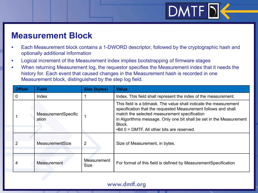## **Measurement Block**

- Each Measurement block contains a 1-DWORD descriptor, followed by the cryptographic hash and optionally additional information
- Logical increment of the Measurement index implies bootstrapping of firmware stages
- When returning Measurement log, the requestor specifies the Measurement index that it needs the history for. Each event that caused changes in the Measurement hash is recorded in one Measurement block, distinguished by the step log field.

| <b>Offset</b> | <b>Field</b>                 | Size (bytes)               | <b>Value</b>                                                                                                                                                                                                                                                                                                               |
|---------------|------------------------------|----------------------------|----------------------------------------------------------------------------------------------------------------------------------------------------------------------------------------------------------------------------------------------------------------------------------------------------------------------------|
|               | Index                        |                            | Index. This field shall represent the index of the measurement.                                                                                                                                                                                                                                                            |
|               | MeasurementSpecific<br>ation |                            | This field is a bitmask. The value shall indicate the measurement<br>specification that the requested Measurement follows and shall<br>match the selected measurement specification<br>in Algorithms message. Only one bit shall be set in the Measurement<br>Block.<br>$\cdot$ Bit 0 = DMTF. All other bits are reserved. |
|               | MeasurementSize              | $\overline{2}$             | Size of Measurement, in bytes.                                                                                                                                                                                                                                                                                             |
| 4             | Measurement                  | Measurement<br><b>Size</b> | For format of this field is defined by Measurement Specification                                                                                                                                                                                                                                                           |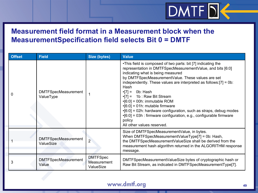#### **Measurement field format in a Measurement block when the MeasurementSpecification field selects Bit 0 = DMTF**

| <b>Offset</b> | <b>Field</b>                            | Size (bytes)                                | <b>Value</b>                                                                                                                                                                                                                                                                                                                                                                                                                                                                                                                                                                                                                                        |
|---------------|-----------------------------------------|---------------------------------------------|-----------------------------------------------------------------------------------------------------------------------------------------------------------------------------------------------------------------------------------------------------------------------------------------------------------------------------------------------------------------------------------------------------------------------------------------------------------------------------------------------------------------------------------------------------------------------------------------------------------------------------------------------------|
| 0             | <b>DMTFSpecMeasurement</b><br>ValueType |                                             | •This field is composed of two parts: bit [7] indicating the<br>representation in DMTFSpecMeasurementValue, and bits [6:0]<br>indicating what is being measured<br>by DMTFSpecMeasurementValue. These values are set<br>independently. These values are interpreted as follows: $[7] = 0$ b:<br>Hash<br>$\cdot$ [7] = 0b: Hash<br>$\cdot$ [7] = 1b : Raw Bit Stream<br>$\cdot$ [6:0] = 00h: immutable ROM<br>$\cdot$ [6:0] = 01h: mutable firmware<br>$\cdot$ [6:0] = 02h: hardware configuration, such as straps, debug modes<br>$\cdot$ [6:0] = 03h : firmware configuration, e.g., configurable firmware<br>policy<br>All other values reserved. |
|               | <b>DMTFSpecMeasurement</b><br>ValueSize | $\overline{2}$                              | Size of DMTFSpecMeasurementValue, in bytes.<br>When DMTFSpecMeasurementValueType[7] = 0b: Hash,<br>the DMTFSpecMeasurementValueSize shall be derived from the<br>measurement hash algorithm returned in the ALGORITHM response<br>message.                                                                                                                                                                                                                                                                                                                                                                                                          |
| 3             | <b>DMTFSpecMeasurement</b><br>Value     | <b>DMTFSpec</b><br>Measurement<br>ValueSize | DMTFSpecMeasurementValueSize bytes of cryptographic hash or<br>Raw Bit Stream, as indicated in DMTFSpecMeasurementType[7].                                                                                                                                                                                                                                                                                                                                                                                                                                                                                                                          |

DMTFDE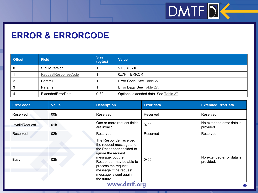

### **ERROR & ERRORCODE**

| <b>Offset</b> | <b>Field</b>        | <b>Size</b><br>(bytes) | <b>Value</b>                          |
|---------------|---------------------|------------------------|---------------------------------------|
|               | SPDMVersion         |                        | $V1.0 = 0x10$                         |
|               | RequestResponseCode |                        | $0x7F = ERROR$                        |
|               | Param1              |                        | Error Code. See Table 27.             |
|               | Param <sub>2</sub>  |                        | Error Data. See Table 27.             |
|               | ExtendedErrorData   | $0 - 32$               | Optional extended data. See Table 27. |

| <b>Error code</b> | <b>Value</b>    | <b>Description</b>                                                                                                                                                                                                                              | <b>Error data</b> | <b>ExtendedErrorData</b>               |
|-------------------|-----------------|-------------------------------------------------------------------------------------------------------------------------------------------------------------------------------------------------------------------------------------------------|-------------------|----------------------------------------|
| Reserved          | 00 <sub>h</sub> | Reserved                                                                                                                                                                                                                                        | Reserved          | Reserved                               |
| InvalidRequest    | 01h             | One or more request fields<br>are invalid                                                                                                                                                                                                       | 0x00              | No extended error data is<br>provided. |
| Reserved          | 02h             | Reserved                                                                                                                                                                                                                                        | Reserved          | Reserved                               |
| <b>Busy</b>       | 03h             | The Responder received<br>the request message and<br>the Responder decided to<br>ignore the request<br>message, but the<br>Responder may be able to<br>process the request<br>message if the request<br>message is sent again in<br>the future. | 0x00              | No extended error data is<br>provided. |

П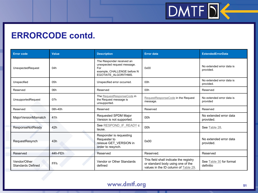### **ERRORCODE contd.**

| <b>Error code</b>                        | <b>Value</b> | <b>Description</b>                                                                                                     | <b>Error data</b>                                                                                                   | <b>ExtendedErrorData</b>               |
|------------------------------------------|--------------|------------------------------------------------------------------------------------------------------------------------|---------------------------------------------------------------------------------------------------------------------|----------------------------------------|
| UnexpectedRequest                        | 04h          | The Responder received an<br>unexpected request message.<br>For<br>example, CHALLENGE before N<br>EGOTIATE ALGORITHMS. | 0x00                                                                                                                | No extended error data is<br>provided. |
| Unspecified                              | 05h          | Unspecified error occurred.                                                                                            | 00h                                                                                                                 | No extended error data is<br>provided. |
| Reserved                                 | 06h          | Reserved                                                                                                               | 00h                                                                                                                 | Reserved                               |
| UnsupportedRequest                       | 07h          | The RequestResponseCode in<br>the Request message is<br>unsupported.                                                   | RequestResponseCode in the Request<br>message.                                                                      | No extended error data is<br>provided  |
| Reserved                                 | 08h-40h      | Reserved                                                                                                               | Reserved                                                                                                            | Reserved                               |
| MajorVersionMismatch                     | 41h          | Requested SPDM Major<br>Version is not supported.                                                                      | 00h                                                                                                                 | No extended error data<br>provided.    |
| <b>ResponseNotReady</b>                  | 42h          | See RESPOND IF READY c<br>lause.                                                                                       | 00h                                                                                                                 | See Table 28.                          |
| RequestResynch                           | 43h          | Responder is requesting<br>Requester to<br>reissue GET_VERSION in<br>order to resynch.                                 | 0x00                                                                                                                | No extended error data<br>provided.    |
| Reserved                                 | 44h-FEh      | Reserved                                                                                                               | Reserved.                                                                                                           | Reserved                               |
| Vendor/Other<br><b>Standards Defined</b> | <b>FFh</b>   | Vendor or Other Standards<br>defined                                                                                   | This field shall indicate the registry<br>or standard body using one of the<br>values in the ID column of Table 29. | See Table 30 for format<br>definitio   |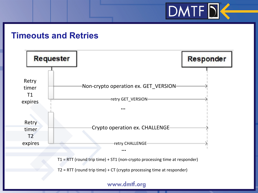### **Timeouts and Retries**

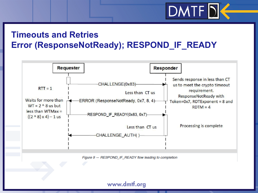## **Timeouts and Retries Error (ResponseNotReady); RESPOND\_IF\_READY**

 $DMTF$ 

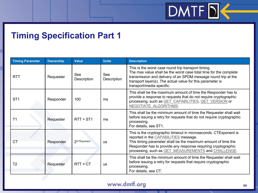### **Timing Specification Part 1**

| <b>Timing Parameter</b> | <b>Ownership</b> | <b>Value</b>       | <b>Units</b>       | <b>Description</b>                                                                                                                                                                                                                                                                                 |
|-------------------------|------------------|--------------------|--------------------|----------------------------------------------------------------------------------------------------------------------------------------------------------------------------------------------------------------------------------------------------------------------------------------------------|
| <b>RTT</b>              | Requester        | See<br>Description | See<br>Description | This is the worst case round trip transport timing.<br>The max value shall be the worst case total time for the complete<br>transmission and delivery of an SPDM message round trip at the<br>transport layer(s). The actual value for this parameter is<br>transport/media specific.              |
| ST <sub>1</sub>         | Responder        | 100                | ms                 | This shall be the maximum amount of time the Responder has to<br>provide a response to requests that do not require cryptographic<br>processing, such as GET CAPABILITIES, GET VERSION or<br>NEGOTIATE ALGORITHMS.                                                                                 |
| T1                      | Requester        | $RTT + ST1$        | ms                 | This shall be the minimum amount of time the Requester shall wait<br>before issuing a retry for requests that do not require cryptographic<br>processing.<br>For details, see ST1.                                                                                                                 |
| <b>CT</b>               | Responder        | 2CTExponent        | <b>US</b>          | This is the cryptographic timeout in microseconds. CTExponent is<br>reported in the CAPABILITIES message.<br>This timing parameter shall be the maximum amount of time the<br>Responder has to provide any response requiring cryptographic<br>processing, such as GET MEASUREMENTS and CHALLENGE. |
| T <sub>2</sub>          | Requester        | $RTT + CT$         | <b>us</b>          | This shall be the minimum amount of time the Requester shall wait<br>before issuing a retry for requests that require cryptographic<br>processing.<br>For details, see CT.                                                                                                                         |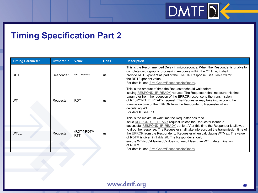### **Timing Specification Part 2**

| <b>Timing Parameter</b> | <b>Ownership</b> | <b>Value</b>                   | <b>Units</b> | <b>Description</b>                                                                                                                                                                                                                                                                                                                                                                                                                                                                                                                                                        |
|-------------------------|------------------|--------------------------------|--------------|---------------------------------------------------------------------------------------------------------------------------------------------------------------------------------------------------------------------------------------------------------------------------------------------------------------------------------------------------------------------------------------------------------------------------------------------------------------------------------------------------------------------------------------------------------------------------|
| <b>RDT</b>              | Responder        | 2RDTExponent                   | <b>us</b>    | This is the Recommended Delay in microseconds. When the Responder is unable to<br>complete cryptographic processing response within the CT time, it shall<br>provide RDTExponent as part of the <b>ERROR</b> Response. See Table 28 for<br>the RDTExponent value.<br>For details, see ErrorCode=ResponseNotReady.                                                                                                                                                                                                                                                         |
| <b>WT</b>               | Requester        | <b>RDT</b>                     | <b>US</b>    | This is the amount of time the Requester should wait before<br>issuing RESPOND IF READY request. The Requester shall measure this time<br>parameter from the reception of the ERROR response to the transmission<br>of RESPOND IF READY request. The Requester may take into account the<br>transission time of the ERROR from the Responder to Requester when<br>calculating WT.<br>For details, see RDT.                                                                                                                                                                |
| $WT_{Max}$              | Requester        | $(RDT * RDTM) -$<br><b>RTT</b> | <b>US</b>    | This is the maximum wait time the Requester has to to<br>issue RESPOND_IF_READY_request unless the Requester issued a<br>successful RESPOND IF READY earlier. After this time the Responder is allowed<br>to drop the response. The Requester shall take into account the transmission time of<br>the ERROR from the Responder to Requester when calculating WTMax. The value<br>of RDTM is given in Table 28. The Responder should<br>ensure WT <sub>Max</sub> does not result less than WT in determination<br>of RDTM.<br>For details, see ErrorCode=ResponseNotReady. |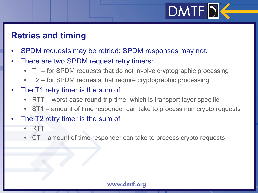## **Retries and timing**

- SPDM requests may be retried; SPDM responses may not.
- There are two SPDM request retry timers:
	- T1 for SPDM requests that do not involve cryptographic processing
	- T2 for SPDM requests that require cryptographic processing
- The T1 retry timer is the sum of:
	- RTT worst-case round-trip time, which is transport layer specific
	- ST1 amount of time responder can take to process non crypto requests
- The T2 retry timer is the sum of:
	- RTT
	- CT amount of time responder can take to process crypto requests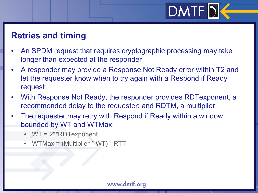## **Retries and timing**

- An SPDM request that requires cryptographic processing may take longer than expected at the responder
- A responder may provide a Response Not Ready error within T2 and let the requester know when to try again with a Respond if Ready request
- With Response Not Ready, the responder provides RDTexponent, a recommended delay to the requester; and RDTM, a multiplier
- The requester may retry with Respond if Ready within a window bounded by WT and WTMax:
	- WT = 2\*\*RDTexponent
	- WTMax = (Multiplier \* WT) RTT